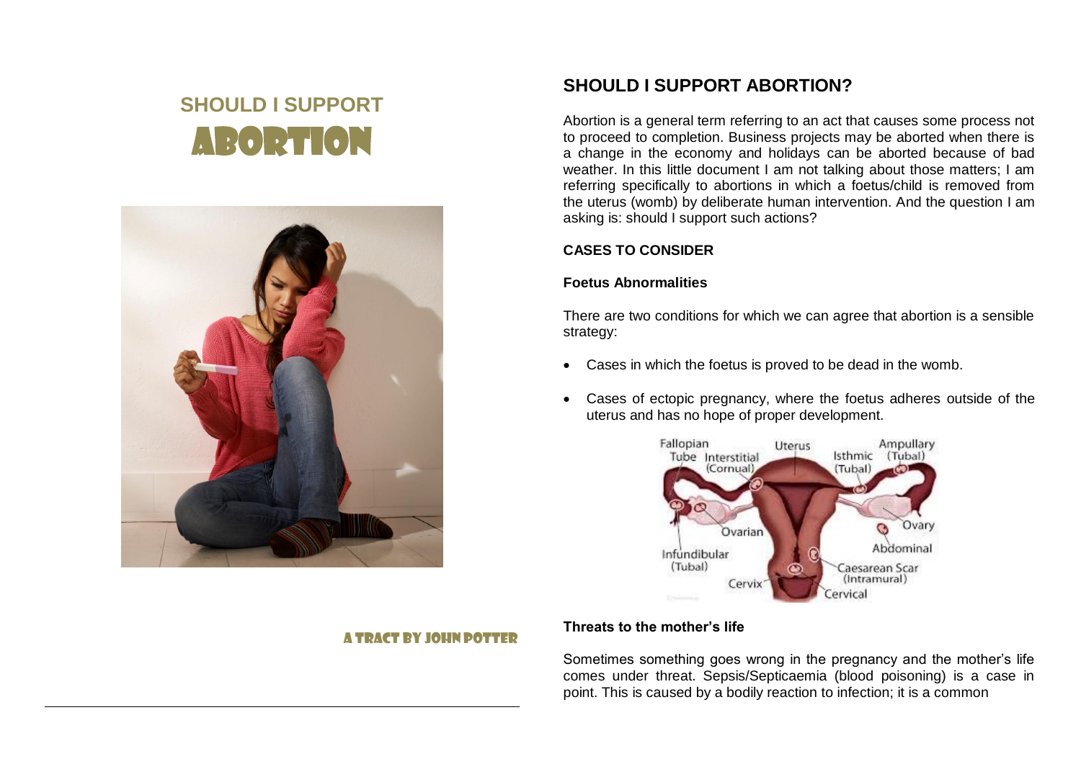# **SHOULD I SUPPORT** ABORTION



# **SHOULD I SUPPORT ABORTION?**

Abortion is a general term referring to an act that causes some process not to proceed to completion. Business projects may be aborted when there is a change in the economy and holidays can be aborted because of bad weather. In this little document I am not talking about those matters; I am referring specifically to abortions in which a foetus/child is removed from the uterus (womb) by deliberate human intervention. And the question I am asking is: should I support such actions?

# **CASES TO CONSIDER**

# **Foetus Abnormalities**

There are two conditions for which we can agree that abortion is a sensible strategy:

- Cases in which the foetus is proved to be dead in the womb.
- Cases of ectopic pregnancy, where the foetus adheres outside of the uterus and has no hope of proper development.



# A TRACT BY JOHN POTTER

# **Threats to the mother's life**

Sometimes something goes wrong in the pregnancy and the mother's life comes under threat. Sepsis/Septicaemia (blood poisoning) is a case in point. This is caused by a bodily reaction to infection; it is a common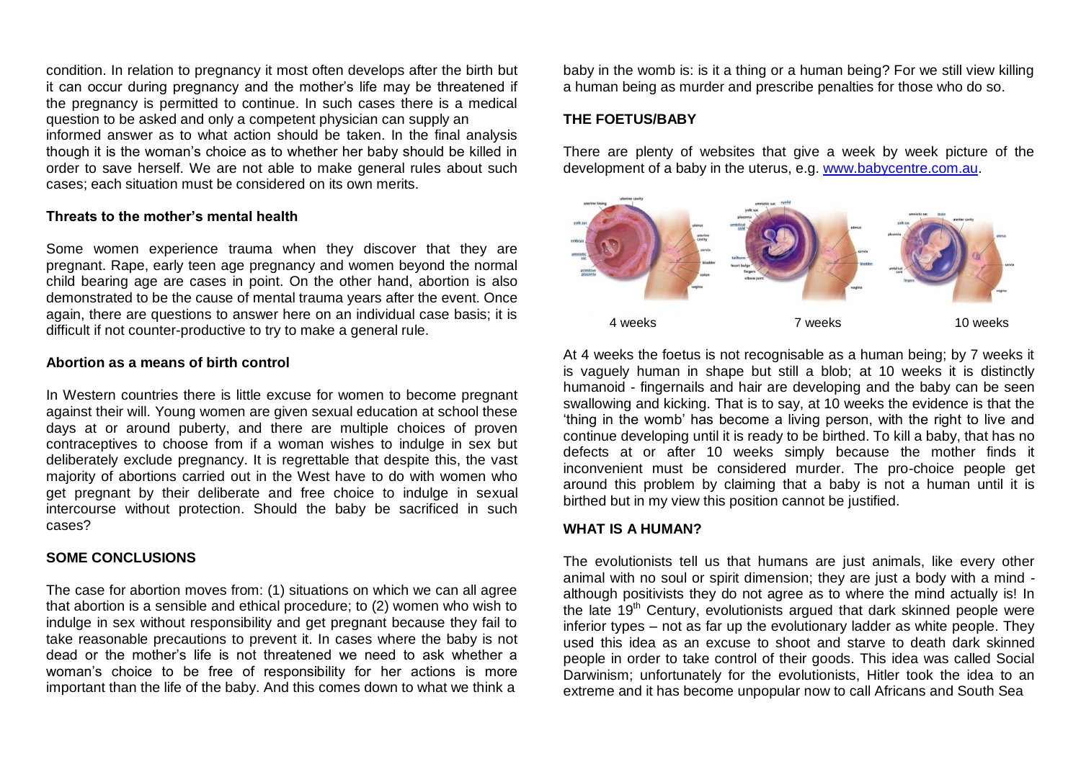condition. In relation to pregnancy it most often develops after the birth but it can occur during pregnancy and the mother's life may be threatened if the pregnancy is permitted to continue. In such cases there is a medical question to be asked and only a competent physician can supply an informed answer as to what action should be taken. In the final analysis though it is the woman's choice as to whether her baby should be killed in order to save herself. We are not able to make general rules about such cases; each situation must be considered on its own merits.

#### **Threats to the mother's mental health**

Some women experience trauma when they discover that they are pregnant. Rape, early teen age pregnancy and women beyond the normal child bearing age are cases in point. On the other hand, abortion is also demonstrated to be the cause of mental trauma years after the event. Once again, there are questions to answer here on an individual case basis; it is difficult if not counter-productive to try to make a general rule.

#### **Abortion as a means of birth control**

In Western countries there is little excuse for women to become pregnant against their will. Young women are given sexual education at school these days at or around puberty, and there are multiple choices of proven contraceptives to choose from if a woman wishes to indulge in sex but deliberately exclude pregnancy. It is regrettable that despite this, the vast majority of abortions carried out in the West have to do with women who get pregnant by their deliberate and free choice to indulge in sexual intercourse without protection. Should the baby be sacrificed in such cases?

#### **SOME CONCLUSIONS**

The case for abortion moves from: (1) situations on which we can all agree that abortion is a sensible and ethical procedure; to (2) women who wish to indulge in sex without responsibility and get pregnant because they fail to take reasonable precautions to prevent it. In cases where the baby is not dead or the mother's life is not threatened we need to ask whether a woman's choice to be free of responsibility for her actions is more important than the life of the baby. And this comes down to what we think a

baby in the womb is: is it a thing or a human being? For we still view killing a human being as murder and prescribe penalties for those who do so.

### **THE FOETUS/BABY**

There are plenty of websites that give a week by week picture of the development of a baby in the uterus, e.g. [www.babycentre.com.au.](http://www.babycentre.com.au/)



At 4 weeks the foetus is not recognisable as a human being; by 7 weeks it is vaguely human in shape but still a blob; at 10 weeks it is distinctly humanoid - fingernails and hair are developing and the baby can be seen swallowing and kicking. That is to say, at 10 weeks the evidence is that the 'thing in the womb' has become a living person, with the right to live and continue developing until it is ready to be birthed. To kill a baby, that has no defects at or after 10 weeks simply because the mother finds it inconvenient must be considered murder. The pro-choice people get around this problem by claiming that a baby is not a human until it is birthed but in my view this position cannot be justified.

#### **WHAT IS A HUMAN?**

The evolutionists tell us that humans are just animals, like every other animal with no soul or spirit dimension; they are just a body with a mind although positivists they do not agree as to where the mind actually is! In the late 19<sup>th</sup> Century, evolutionists argued that dark skinned people were inferior types – not as far up the evolutionary ladder as white people. They used this idea as an excuse to shoot and starve to death dark skinned people in order to take control of their goods. This idea was called Social Darwinism; unfortunately for the evolutionists, Hitler took the idea to an extreme and it has become unpopular now to call Africans and South Sea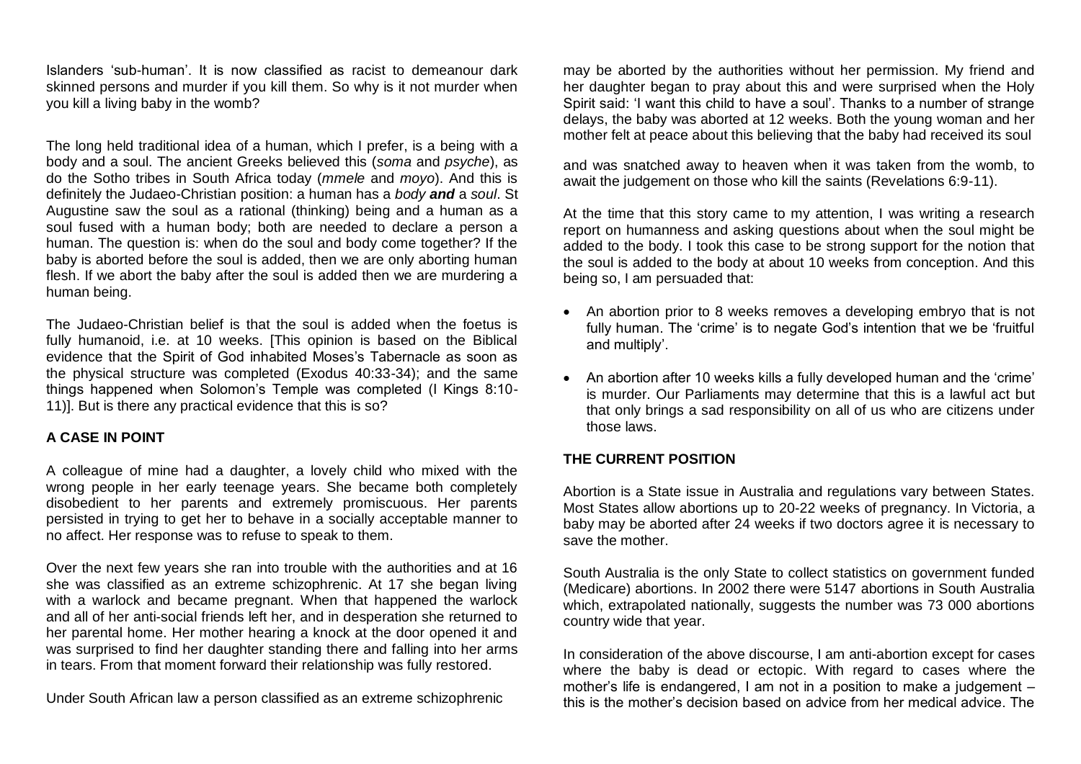Islanders 'sub-human'. It is now classified as racist to demeanour dark skinned persons and murder if you kill them. So why is it not murder when you kill a living baby in the womb?

The long held traditional idea of a human, which I prefer, is a being with a body and a soul. The ancient Greeks believed this (*soma* and *psyche*), as do the Sotho tribes in South Africa today (*mmele* and *moyo*). And this is definitely the Judaeo-Christian position: a human has a *body and* a *soul*. St Augustine saw the soul as a rational (thinking) being and a human as a soul fused with a human body; both are needed to declare a person a human. The question is: when do the soul and body come together? If the baby is aborted before the soul is added, then we are only aborting human flesh. If we abort the baby after the soul is added then we are murdering a human being.

The Judaeo-Christian belief is that the soul is added when the foetus is fully humanoid, i.e. at 10 weeks. [This opinion is based on the Biblical evidence that the Spirit of God inhabited Moses's Tabernacle as soon as the physical structure was completed (Exodus 40:33-34); and the same things happened when Solomon's Temple was completed (I Kings 8:10- 11)]. But is there any practical evidence that this is so?

#### **A CASE IN POINT**

A colleague of mine had a daughter, a lovely child who mixed with the wrong people in her early teenage years. She became both completely disobedient to her parents and extremely promiscuous. Her parents persisted in trying to get her to behave in a socially acceptable manner to no affect. Her response was to refuse to speak to them.

Over the next few years she ran into trouble with the authorities and at 16 she was classified as an extreme schizophrenic. At 17 she began living with a warlock and became pregnant. When that happened the warlock and all of her anti-social friends left her, and in desperation she returned to her parental home. Her mother hearing a knock at the door opened it and was surprised to find her daughter standing there and falling into her arms in tears. From that moment forward their relationship was fully restored.

Under South African law a person classified as an extreme schizophrenic

may be aborted by the authorities without her permission. My friend and her daughter began to pray about this and were surprised when the Holy Spirit said: 'I want this child to have a soul'. Thanks to a number of strange delays, the baby was aborted at 12 weeks. Both the young woman and her mother felt at peace about this believing that the baby had received its soul

and was snatched away to heaven when it was taken from the womb, to await the judgement on those who kill the saints (Revelations 6:9-11).

At the time that this story came to my attention, I was writing a research report on humanness and asking questions about when the soul might be added to the body. I took this case to be strong support for the notion that the soul is added to the body at about 10 weeks from conception. And this being so, I am persuaded that:

- An abortion prior to 8 weeks removes a developing embryo that is not fully human. The 'crime' is to negate God's intention that we be 'fruitful and multiply'.
- An abortion after 10 weeks kills a fully developed human and the 'crime' is murder. Our Parliaments may determine that this is a lawful act but that only brings a sad responsibility on all of us who are citizens under those laws.

# **THE CURRENT POSITION**

Abortion is a State issue in Australia and regulations vary between States. Most States allow abortions up to 20-22 weeks of pregnancy. In Victoria, a baby may be aborted after 24 weeks if two doctors agree it is necessary to save the mother.

South Australia is the only State to collect statistics on government funded (Medicare) abortions. In 2002 there were 5147 abortions in South Australia which, extrapolated nationally, suggests the number was 73 000 abortions country wide that year.

In consideration of the above discourse, I am anti-abortion except for cases where the baby is dead or ectopic. With regard to cases where the mother's life is endangered, I am not in a position to make a judgement – this is the mother's decision based on advice from her medical advice. The